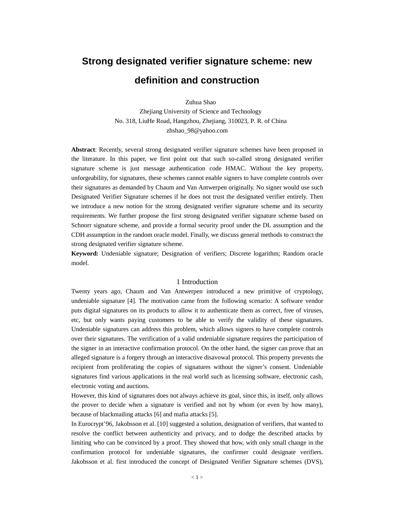# **Strong designated verifier signature scheme: new definition and construction**

Zuhua Shao

Zhejiang University of Science and Technology No. 318, LiuHe Road, Hangzhou, Zhejiang, 310023, P. R. of China zhshao\_98@yahoo.com

**Abstract**: Recently, several strong designated verifier signature schemes have been proposed in the literature. In this paper, we first point out that such so-called strong designated verifier signature scheme is just message authentication code HMAC. Without the key property, unforgeability, for signatures, these schemes cannot enable signers to have complete controls over their signatures as demanded by Chaum and Van Antwerpen originally. No signer would use such Designated Verifier Signature schemes if he does not trust the designated verifier entirely. Then we introduce a new notion for the strong designated verifier signature scheme and its security requirements. We further propose the first strong designated verifier signature scheme based on Schnorr signature scheme, and provide a formal security proof under the DL assumption and the CDH assumption in the random oracle model. Finally, we discuss general methods to construct the strong designated verifier signature scheme.

**Keyword:** Undeniable signature; Designation of verifiers; Discrete logarithm; Random oracle model.

## 1 Introduction

Twenty years ago, Chaum and Van Antwerpen introduced a new primitive of cryptology, undeniable signature [4]. The motivation came from the following scenario: A software vendor puts digital signatures on its products to allow it to authenticate them as correct, free of viruses, etc, but only wants paying customers to be able to verify the validity of these signatures. Undeniable signatures can address this problem, which allows signers to have complete controls over their signatures. The verification of a valid undeniable signature requires the participation of the signer in an interactive confirmation protocol. On the other hand, the signer can prove that an alleged signature is a forgery through an interactive disavowal protocol. This property prevents the recipient from proliferating the copies of signatures without the signer's consent. Undeniable signatures find various applications in the real world such as licensing software, electronic cash, electronic voting and auctions.

However, this kind of signatures does not always achieve its goal, since this, in itself, only allows the prover to decide when a signature is verified and not by whom (or even by how many), because of blackmailing attacks [6] and mafia attacks [5].

In Eurocrypt'96, Jakobsson et al. [10] suggested a solution, designation of verifiers, that wanted to resolve the conflict between authenticity and privacy, and to dodge the described attacks by limiting who can be convinced by a proof. They showed that how, with only small change in the confirmation protocol for undeniable signatures, the confirmer could designate verifiers. Jakobsson et al. first introduced the concept of Designated Verifier Signature schemes (DVS),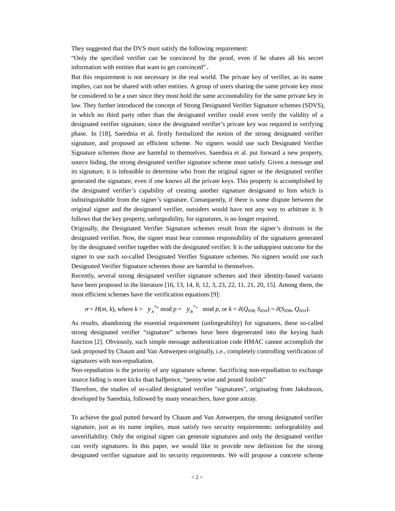They suggested that the DVS must satisfy the following requirement:

"Only the specified verifier can be convinced by the proof, even if he shares all his secret information with entities that want to get convinced".

But this requirement is not necessary in the real world. The private key of verifier, as its name implies, can not be shared with other entities. A group of users sharing the same private key must be considered to be a user since they must hold the same accountability for the same private key in law. They further introduced the concept of Strong Designated Verifier Signature schemes (SDVS), in which no third party other than the designated verifier could even verify the validity of a designated verifier signature, since the designated verifier's private key was required in verifying phase. In [18], Saeednia et al. firstly formalized the notion of the strong designated verifier signature, and proposed an efficient scheme. No signers would use such Designated Verifier Signature schemes those are harmful to themselves. Saeednia et al. put forward a new property, source hiding, the strong designated verifier signature scheme must satisfy. Given a message and its signature, it is infeasible to determine who from the original signer or the designated verifier generated the signature, even if one knows all the private keys. This property is accomplished by the designated verifier's capability of creating another signature designated to him which is indistinguishable from the signer's signature. Consequently, if there is some dispute between the original signer and the designated verifier, outsiders would have not any way to arbitrate it. It follows that the key property, unforgeability, for signatures, is no longer required.

Originally, the Designated Verifier Signature schemes result from the signer's distrusts in the designated verifier. Now, the signer must bear common responsibility of the signatures generated by the designated verifier together with the designated verifier. It is the unhappiest outcome for the signer to use such so-called Designated Verifier Signature schemes. No signers would use such Designated Verifier Signature schemes those are harmful to themselves.

Recently, several strong designated verifier signature schemes and their identity-based variants have been proposed in the literature [16, 13, 14, 8, 12, 3, 23, 22, 11, 21, 20, 15]. Among them, the most efficient schemes have the verification equations [9]:

$$
\sigma = H(m, k)
$$
, where  $k = y_A^{x_B} \mod p = y_B^{x_A} \mod p$ , or  $k = \hat{e}(Q_{IDB}, S_{IDA}) = \hat{e}(S_{IDB}, Q_{IDA})$ .

As results, abandoning the essential requirement (unforgeability) for signatures, these so-called strong designated verifier "signature" schemes have been degenerated into the keying hash function [2]. Obviously, such simple message authentication code HMAC cannot accomplish the task proposed by Chaum and Van Antwerpen originally, i.e., completely controlling verification of signatures with non-repudiation.

Non-repudiation is the priority of any signature scheme. Sacrificing non-repudiation to exchange source hiding is more kicks than halfpence, "penny wise and pound foolish"

Therefore, the studies of so-called designated verifier "signatures", originating from Jakobsson, developed by Saeednia, followed by many researchers, have gone astray.

To achieve the goal putted forward by Chaum and Van Antwerpen, the strong designated verifier signature, just as its name implies, must satisfy two security requirements: unforgeability and unverifiability. Only the original signer can generate signatures and only the designated verifier can verify signatures. In this paper, we would like to provide new definition for the strong designated verifier signature and its security requirements. We will propose a concrete scheme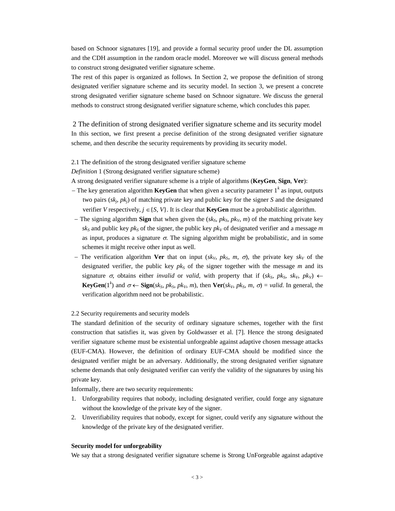based on Schnoor signatures [19], and provide a formal security proof under the DL assumption and the CDH assumption in the random oracle model. Moreover we will discuss general methods to construct strong designated verifier signature scheme.

The rest of this paper is organized as follows. In Section 2, we propose the definition of strong designated verifier signature scheme and its security model. In section 3, we present a concrete strong designated verifier signature scheme based on Schnoor signature. We discuss the general methods to construct strong designated verifier signature scheme, which concludes this paper.

2 The definition of strong designated verifier signature scheme and its security model In this section, we first present a precise definition of the strong designated verifier signature scheme, and then describe the security requirements by providing its security model.

# 2.1 The definition of the strong designated verifier signature scheme

*Definition* 1 (Strong designated verifier signature scheme)

A strong designated verifier signature scheme is a triple of algorithms (**KeyGen**, **Sign**, **Ver**):

- $-$  The key generation algorithm **KeyGen** that when given a security parameter  $1<sup>k</sup>$  as input, outputs two pairs (*skj*, *pkj*) of matching private key and public key for the signer *S* and the designated verifier *V* respectively,  $j \in \{S, V\}$ . It is clear that **KeyGen** must be a probabilistic algorithm.
- $-$  The signing algorithm **Sign** that when given the ( $sk_S$ ,  $pk_S$ ,  $pk_V$ , *m*) of the matching private key  $s k<sub>S</sub>$  and public key  $p k<sub>S</sub>$  of the signer, the public key  $p k<sub>V</sub>$  of designated verifier and a message *m* as input, produces a signature  $\sigma$ . The signing algorithm might be probabilistic, and in some schemes it might receive other input as well.
- The verification algorithm Ver that on input ( $sk_y$ ,  $pk_s$ ,  $m$ ,  $\sigma$ ), the private key  $sk_y$  of the designated verifier, the public key  $pk<sub>S</sub>$  of the signer together with the message *m* and its signature  $\sigma$ , obtains either *invalid* or *valid*, with property that if (*sk<sub>S</sub>*, *pk<sub>S</sub>*, *sk<sub>V</sub>*, *pk<sub>V</sub>*)  $\leftarrow$ **KeyGen**(1<sup>k</sup>) and  $\sigma \leftarrow$  **Sign**(*sks, pks, pkv, m*), then **Ver**(*skv, pks, m,*  $\sigma$ *) = <i>valid*. In general, the verification algorithm need not be probabilistic.

## 2.2 Security requirements and security models

The standard definition of the security of ordinary signature schemes, together with the first construction that satisfies it, was given by Goldwasser et al. [7]. Hence the strong designated verifier signature scheme must be existential unforgeable against adaptive chosen message attacks (EUF-CMA). However, the definition of ordinary EUF-CMA should be modified since the designated verifier might be an adversary. Additionally, the strong designated verifier signature scheme demands that only designated verifier can verify the validity of the signatures by using his private key.

Informally, there are two security requirements:

- 1. Unforgeability requires that nobody, including designated verifier, could forge any signature without the knowledge of the private key of the signer.
- 2. Unverifiability requires that nobody, except for signer, could verify any signature without the knowledge of the private key of the designated verifier.

## **Security model for unforgeability**

We say that a strong designated verifier signature scheme is Strong UnForgeable against adaptive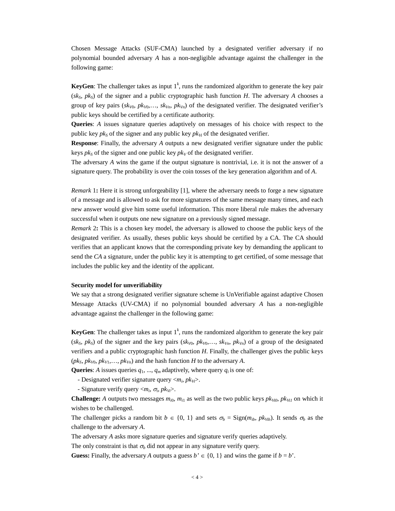Chosen Message Attacks (SUF-CMA) launched by a designated verifier adversary if no polynomial bounded adversary *A* has a non-negligible advantage against the challenger in the following game:

**KeyGen**: The challenger takes as input  $1<sup>k</sup>$ , runs the randomized algorithm to generate the key pair  $(sk<sub>S</sub>, pk<sub>S</sub>)$  of the signer and a public cryptographic hash function *H*. The adversary *A* chooses a group of key pairs  $(sk_{V0}, p k_{V0}, \ldots, sk_{Vn}, p k_{Vn})$  of the designated verifier. The designated verifier's public keys should be certified by a certificate authority.

**Queries**: *A* issues signature queries adaptively on messages of his choice with respect to the public key  $pk_S$  of the signer and any public key  $pk_{Vi}$  of the designated verifier.

**Response**: Finally, the adversary *A* outputs a new designated verifier signature under the public keys  $pk_S$  of the signer and one public key  $pk_V$  of the designated verifier.

The adversary *A* wins the game if the output signature is nontrivial, i.e. it is not the answer of a signature query. The probability is over the coin tosses of the key generation algorithm and of *A*.

*Remark* 1: Here it is strong unforgeability [1], where the adversary needs to forge a new signature of a message and is allowed to ask for more signatures of the same message many times, and each new answer would give him some useful information. This more liberal rule makes the adversary successful when it outputs one new signature on a previously signed message.

*Remark* 2**:** This is a chosen key model, the adversary is allowed to choose the public keys of the designated verifier. As usually, theses public keys should be certified by a CA. The CA should verifies that an applicant knows that the corresponding private key by demanding the applicant to send the *CA* a signature, under the public key it is attempting to get certified, of some message that includes the public key and the identity of the applicant.

## **Security model for unverifiability**

We say that a strong designated verifier signature scheme is UnVerifiable against adaptive Chosen Message Attacks (UV-CMA) if no polynomial bounded adversary *A* has a non-negligible advantage against the challenger in the following game:

**KeyGen**: The challenger takes as input  $1^k$ , runs the randomized algorithm to generate the key pair  $(sk_S, pk_S)$  of the signer and the key pairs  $(sk_{V0}, pk_{V0}, \ldots, sk_{Vn}, pk_{Vn})$  of a group of the designated verifiers and a public cryptographic hash function *H*. Finally, the challenger gives the public keys  $(pk_S, pk_{V0}, pk_{V1}, \ldots, pk_{Vn})$  and the hash function *H* to the adversary *A*.

**Queries**: *A* issues queries  $q_1, ..., q_m$  adaptively, where query  $q_i$  is one of:

- Designated verifier signature query  $\langle m_i, pk_i \rangle$ .

- Signature verify query  $\langle m_i, \sigma_i, \rho k_{Vi} \rangle$ .

**Challenge:** *A* outputs two messages  $m_{i0}$ ,  $m_{i1}$  as well as the two public keys  $pk_{Vi0}$ ,  $pk_{Vi1}$  on which it wishes to be challenged.

The challenger picks a random bit  $b \in \{0, 1\}$  and sets  $\sigma_b = \text{Sign}(m_{ib}, p k_{Vib})$ . It sends  $\sigma_b$  as the challenge to the adversary *A*.

The adversary *A* asks more signature queries and signature verify queries adaptively.

The only constraint is that  $\sigma_b$  did not appear in any signature verify query.

**Guess:** Finally, the adversary *A* outputs a guess  $b' \in \{0, 1\}$  and wins the game if  $b = b'$ .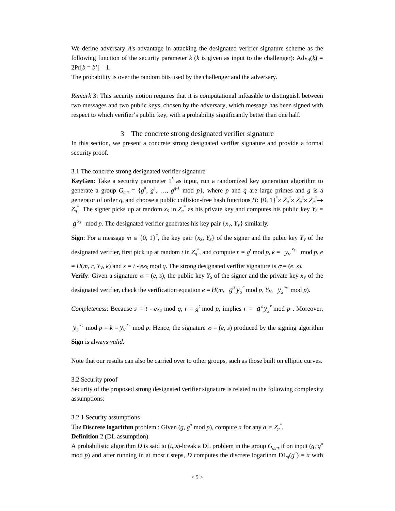We define adversary *A*'s advantage in attacking the designated verifier signature scheme as the following function of the security parameter *k* (*k* is given as input to the challenger):  $\text{Adv}_4(k) =$  $2Pr[b = b'] - 1$ .

The probability is over the random bits used by the challenger and the adversary.

*Remark* 3: This security notion requires that it is computational infeasible to distinguish between two messages and two public keys, chosen by the adversary, which message has been signed with respect to which verifier's public key, with a probability significantly better than one half.

# 3 The concrete strong designated verifier signature

In this section, we present a concrete strong designated verifier signature and provide a formal security proof.

3.1 The concrete strong designated verifier signature

**KeyGen**: Take a security parameter  $1^k$  as input, run a randomized key generation algorithm to generate a group  $G_{g,p} = \{g^0, g^1, \ldots, g^{q-1} \text{ mod } p\}$ , where p and q are large primes and g is a generator of order q, and choose a public collision-free hash functions  $H: \{0, 1\}^* \times Z_p^* \times Z_p^* \to Z_p^*$  $Z_q^*$ . The signer picks up at random  $x_S$  in  $Z_q^*$  as his private key and computes his public key  $Y_S =$ 

 $g^{x_s}$  mod *p*. The designated verifier generates his key pair {*x<sub>V</sub>*, *Y<sub>V</sub>*} similarly.

**Sign:** For a message  $m \in \{0, 1\}^*$ , the key pair  $\{x_S, Y_S\}$  of the signer and the pubic key  $Y_V$  of the designated verifier, first pick up at random *t* in  $Z_q^*$ , and compute  $r = g^t \mod p$ ,  $k = y_v^{x_s} \mod p$ , *e* 

 $=$  *H*(*m*, *r*, *Y*<sub>V</sub>, *k*) and *s* = *t* - *ex<sub>S</sub>* mod *q*. The strong designated verifier signature is  $\sigma$  = (*e*, *s*). **Verify**: Given a signature  $\sigma = (e, s)$ , the public key  $Y_s$  of the signer and the private key  $x_V$  of the

designated verifier, check the verification equation  $e = H(m, g^s y_s^e \text{ mod } p, Y_v, y_s^{x_v} \text{ mod } p)$ .

*Completeness*: Because  $s = t - ex_s \mod q$ ,  $r = g^t \mod p$ , implies  $r = g^s y_s^e \mod p$ . Moreover,

 $y_s^{x_v}$  mod  $p = k = y_v^{x_s}$  mod *p*. Hence, the signature  $\sigma = (e, s)$  produced by the signing algorithm **Sign** is always *valid*.

Note that our results can also be carried over to other groups, such as those built on elliptic curves.

#### 3.2 Security proof

Security of the proposed strong designated verifier signature is related to the following complexity assumptions:

#### 3.2.1 Security assumptions

The **Discrete logarithm** problem : Given  $(g, g^a \mod p)$ , compute *a* for any  $a \in Z_p^*$ .

# **Definition** 2 (DL assumption)

A probabilistic algorithm *D* is said to  $(t, \varepsilon)$ -break a DL problem in the group  $G_{g,p}$ , if on input  $(g, g^a)$ mod *p*) and after running in at most *t* steps, *D* computes the discrete logarithm  $DL_g(g^a) = a$  with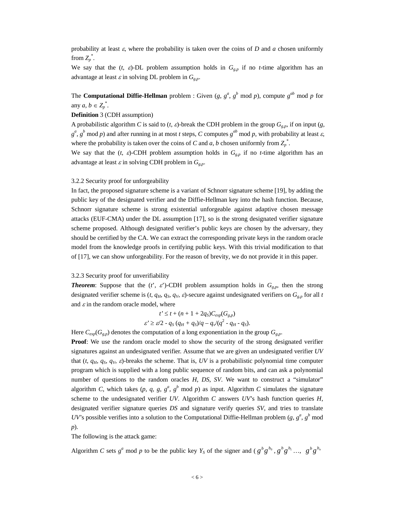probability at least  $\varepsilon$ , where the probability is taken over the coins of *D* and *a* chosen uniformly from  $Z_p^*$ .

We say that the  $(t, \varepsilon)$ -DL problem assumption holds in  $G_{g,p}$  if no *t*-time algorithm has an advantage at least  $\varepsilon$  in solving DL problem in  $G_{g,p}$ .

The **Computational Diffie-Hellman** problem : Given  $(g, g^a, g^b \text{ mod } p)$ , compute  $g^{ab}$  mod p for any  $a, b \in Z_p^*$ .

## **Definition** 3 (CDH assumption)

A probabilistic algorithm *C* is said to  $(t, \varepsilon)$ -break the CDH problem in the group  $G_{g,p}$ , if on input  $(g,$  $g^a$ ,  $g^b$  mod *p*) and after running in at most *t* steps, *C* computes  $g^{ab}$  mod *p*, with probability at least  $\varepsilon$ , where the probability is taken over the coins of *C* and *a*, *b* chosen uniformly from  $Z_p^*$ .

We say that the  $(t, \varepsilon)$ -CDH problem assumption holds in  $G_{g,p}$  if no *t*-time algorithm has an advantage at least  $\varepsilon$  in solving CDH problem in  $G_{g,p}$ .

# 3.2.2 Security proof for unforgeability

In fact, the proposed signature scheme is a variant of Schnorr signature scheme [19], by adding the public key of the designated verifier and the Diffie-Hellman key into the hash function. Because, Schnorr signature scheme is strong existential unforgeable against adaptive chosen message attacks (EUF-CMA) under the DL assumption [17], so is the strong designated verifier signature scheme proposed. Although designated verifier's public keys are chosen by the adversary, they should be certified by the CA. We can extract the corresponding private keys in the random oracle model from the knowledge proofs in certifying public keys. With this trivial modification to that of [17], we can show unforgeability. For the reason of brevity, we do not provide it in this paper.

## 3.2.3 Security proof for unverifiability

**Theorem:** Suppose that the  $(t', \varepsilon')$ -CDH problem assumption holds in  $G_{g,p}$ , then the strong designated verifier scheme is  $(t, q_H, q_S, q_V, \varepsilon)$ -secure against undesignated verifiers on  $G_{g,p}$  for all *t* and  $\varepsilon$  in the random oracle model, where

$$
t' \le t + (n + 1 + 2q_s)C_{exp}(G_{g,p})
$$
  

$$
\varepsilon' \ge \varepsilon/2 - q_s (q_H + q_s)/q - q_v/(q^2 - q_H - q_s).
$$

Here  $C_{exp}(G_{g,p})$  denotes the computation of a long exponentiation in the group  $G_{g,p}$ .

**Proof:** We use the random oracle model to show the security of the strong designated verifier signatures against an undesignated verifier. Assume that we are given an undesignated verifier *UV* that  $(t, q_H, q_S, q_V, \varepsilon)$ -breaks the scheme. That is, *UV* is a probabilistic polynomial time computer program which is supplied with a long public sequence of random bits, and can ask a polynomial number of questions to the random oracles *H*, *DS*, *SV*. We want to construct a "simulator" algorithm *C*, which takes  $(p, q, g, g^a, g^b \mod p)$  as input. Algorithm *C* simulates the signature scheme to the undesignated verifier *UV*. Algorithm *C* answers *UV*'s hash function queries *H*, designated verifier signature queries *DS* and signature verify queries *SV*, and tries to translate *UV*'s possible verifies into a solution to the Computational Diffie-Hellman problem (*g*,  $g^a$ ,  $g^b$  mod *p*).

The following is the attack game:

Algorithm C sets  $g^a$  mod p to be the public key  $Y_s$  of the signer and  $(g^b g^{b_0}, g^b g^{b_1}, \ldots, g^b g^{b_n})$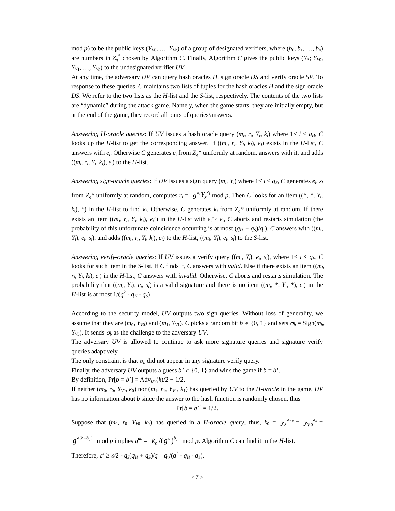mod *p*) to be the public keys  $(Y_{V0}, ..., Y_{Vn})$  of a group of designated verifiers, where  $(b_0, b_1, ..., b_n)$ are numbers in  $Z_q^*$  chosen by Algorithm *C*. Finally, Algorithm *C* gives the public keys  $(Y_S; Y_{V_0},$  $Y_{V1}, \ldots, Y_{Vn}$  to the undesignated verifier *UV*.

At any time, the adversary *UV* can query hash oracles *H,* sign oracle *DS* and verify oracle *SV*. To response to these queries, *C* maintains two lists of tuples for the hash oracles *H* and the sign oracle *DS*. We refer to the two lists as the *H*-list and the *S*-list, respectively. The contents of the two lists are "dynamic" during the attack game. Namely, when the game starts, they are initially empty, but at the end of the game, they record all pairs of queries/answers.

*Answering H-oracle queries*: If *UV* issues a hash oracle query  $(m_i, r_i, Y_i, k_i)$  where  $1 \le i \le q_H$ , *C* looks up the *H*-list to get the corresponding answer. If  $((m_i, r_i, Y_i, k_i), e_i)$  exists in the *H*-list, *C* answers with  $e_i$ . Otherwise C generates  $e_i$  from  $Z_a^*$  uniformly at random, answers with it, and adds  $((m_i, r_i, Y_i, k_i), e_i)$  to the *H*-list.

*Answering sign-oracle queries:* If *UV* issues a sign query  $(m_i, Y_i)$  where  $1 \le i \le q_s$ , *C* generates  $e_i$ ,  $s_i$ 

from  $Z_q^*$  uniformly at random, computes  $r_i = g^{s_i} Y_s^{e_i} \text{ mod } p$ . Then *C* looks for an item ((\*, \*,  $Y_i$ ,

 $k_i$ ), \*) in the *H*-list to find  $k_i$ . Otherwise, *C* generates  $k_i$  from  $Z_q^*$  uniformly at random. If there exists an item  $((m_i, r_i, Y_i, k_i), e_i)$  in the *H*-list with  $e_i \neq e_i$ , *C* aborts and restarts simulation (the probability of this unfortunate coincidence occurring is at most  $(q_H + q_S)/q$ .). *C* answers with  $((m_i,$ *Y<sub>i</sub>*),  $e_i$ ,  $s_i$ ), and adds  $((m_i, r_i, Y_i, k_i), e_i)$  to the *H*-list,  $((m_i, Y_i), e_i, s_i)$  to the *S*-list.

*Answering verify-oracle queries*: If *UV* issues a verify query  $((m_i, Y_i), e_i, s_i)$ , where  $1 \le i \le q_V$ , *C* looks for such item in the *S*-list. If *C* finds it, *C* answers with *valid*. Else if there exists an item ((*mi*,  $r_i$ ,  $Y_i$ ,  $k_i$ ),  $e_i$ ) in the *H*-list, *C* answers with *invalid*. Otherwise, *C* aborts and restarts simulation. The probability that  $((m_i, Y_i), e_i, s_i)$  is a valid signature and there is no item  $((m_i, *, Y_i, *,), e_i)$  in the *H*-list is at most  $1/(q^2 - q_H - q_S)$ .

According to the security model, *UV* outputs two sign queries. Without loss of generality, we assume that they are  $(m_0, Y_{V0})$  and  $(m_1, Y_{V1})$ . *C* picks a random bit  $b \in \{0, 1\}$  and sets  $\sigma_b = \text{Sign}(m_b,$  $Y_{Vb}$ ). It sends  $\sigma_b$  as the challenge to the adversary *UV*.

The adversary *UV* is allowed to continue to ask more signature queries and signature verify queries adaptively.

The only constraint is that  $\sigma_b$  did not appear in any signature verify query.

Finally, the adversary *UV* outputs a guess  $b' \in \{0, 1\}$  and wins the game if  $b = b'$ .

By definition,  $Pr[b = b'] = Adv_{UV}(k)/2 + 1/2$ .

If neither  $(m_0, r_0, Y_{V0}, k_0)$  nor  $(m_1, r_1, Y_{V1}, k_1)$  has queried by *UV* to the *H-oracle* in the game, *UV* has no information about *b* since the answer to the hash function is randomly chosen, thus

$$
Pr[b = b'] = 1/2.
$$

Suppose that  $(m_0, r_0, Y_{V0}, k_0)$  has queried in a *H-oracle query*, thus,  $k_0 = y_s^{x_{V0}} = y_{V0}^{x_s} =$ 

 $g^{a(b+b_0)}$  mod *p* implies  $g^{ab} = k_0/(g^a)^{b_0}$  mod *p*. Algorithm *C* can find it in the *H*-list. Therefore,  $\varepsilon' \ge \varepsilon/2$  -  $q_S(q_H + q_S)/q - q_V/(q^2 - q_H - q_S)$ .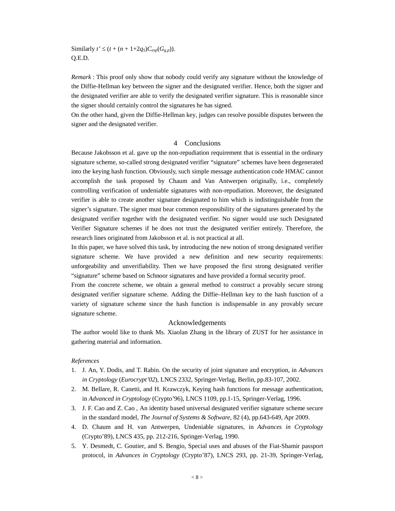Similarly  $t' \le (t + (n + 1+2q_S)C_{exp}(G_{g,p}))$ . Q.E.D.

*Remark* : This proof only show that nobody could verify any signature without the knowledge of the Diffie-Hellman key between the signer and the designated verifier. Hence, both the signer and the designated verifier are able to verify the designated verifier signature. This is reasonable since the signer should certainly control the signatures he has signed.

On the other hand, given the Diffie-Hellman key, judges can resolve possible disputes between the signer and the designated verifier.

# 4 Conclusions

Because Jakobsson et al. gave up the non-repudiation requirement that is essential in the ordinary signature scheme, so-called strong designated verifier "signature" schemes have been degenerated into the keying hash function. Obviously, such simple message authentication code HMAC cannot accomplish the task proposed by Chaum and Van Antwerpen originally, i.e., completely controlling verification of undeniable signatures with non-repudiation. Moreover, the designated verifier is able to create another signature designated to him which is indistinguishable from the signer's signature. The signer must bear common responsibility of the signatures generated by the designated verifier together with the designated verifier. No signer would use such Designated Verifier Signature schemes if he does not trust the designated verifier entirely. Therefore, the research lines originated from Jakobsson et al. is not practical at all.

In this paper, we have solved this task, by introducing the new notion of strong designated verifier signature scheme. We have provided a new definition and new security requirements: unforgeability and unverifiability. Then we have proposed the first strong designated verifier "signature" scheme based on Schnoor signatures and have provided a formal security proof.

From the concrete scheme, we obtain a general method to construct a provably secure strong designated verifier signature scheme. Adding the Diffie–Hellman key to the hash function of a variety of signature scheme since the hash function is indispensable in any provably secure signature scheme.

## Acknowledgements

The author would like to thank Ms. Xiaolan Zhang in the library of ZUST for her assistance in gathering material and information.

# *References*

- 1. J. An, Y. Dodis, and T. Rabin. On the security of joint signature and encryption, in *Advances in Cryptology* (*Eurocrypt'02*), LNCS 2332, Springer-Verlag, Berlin, pp.83-107, 2002.
- 2. M. Bellare, R. Canetti, and H. Krawczyk, Keying hash functions for message authentication, in *Advanced in Cryptology* (Crypto'96), LNCS 1109, pp.1-15, Springer-Verlag, 1996.
- 3. J. F. Cao and Z. Cao , An identity based universal designated verifier signature scheme secure in the standard model, *The Journal of Systems & Software*, 82 (4), pp.643-649, Apr 2009.
- 4. D. Chaum and H. van Antwerpen, Undeniable signatures, in *Advances in Cryptology* (Crypto'89), LNCS 435, pp. 212-216, Springer-Verlag, 1990.
- 5. Y. Desmedt, C. Goutier, and S. Bengio, Special uses and abuses of the Fiat-Shamir passport protocol, in *Advances in Cryptology* (Crypto'87), LNCS 293, pp. 21-39, Springer-Verlag,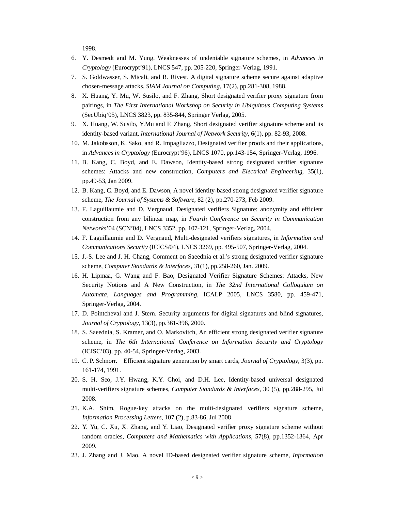1998.

- 6. Y. Desmedt and M. Yung, Weaknesses of undeniable signature schemes, in *Advances in Cryptology* (Eurocrypt'91), LNCS 547, pp. 205-220, Springer-Verlag, 1991.
- 7. S. Goldwasser, S. Micali, and R. Rivest. A digital signature scheme secure against adaptive chosen-message attacks, *SIAM Journal on Computing,* 17(2), pp.281-308, 1988.
- 8. X. Huang, Y. Mu, W. Susilo, and F. Zhang, Short designated verifier proxy signature from pairings, in *The First International Workshop on Security in Ubiquitous Computing Systems* (SecUbiq'05), LNCS 3823, pp. 835-844, Springer Verlag, 2005.
- 9. X. Huang, W. Susilo, Y.Mu and F. Zhang, Short designated verifier signature scheme and its identity-based variant, *International Journal of Network Security*, 6(1), pp. 82-93, 2008.
- 10. M. Jakobsson, K. Sako, and R. Impagliazzo, Designated verifier proofs and their applications, in *Advances in Cryptology* (Eurocrypt'96), LNCS 1070, pp.143-154, Springer-Verlag, 1996.
- 11. B. Kang, C. Boyd, and E. Dawson, Identity-based strong designated verifier signature schemes: Attacks and new construction, *Computers and Electrical Engineering*, 35(1), pp.49-53, Jan 2009.
- 12. B. Kang, C. Boyd, and E. Dawson, A novel identity-based strong designated verifier signature scheme, *The Journal of Systems & Software*, 82 (2), pp.270-273, Feb 2009.
- 13. F. Laguillaumie and D. Vergnaud, Designated verifiers Signature: anonymity and efficient construction from any bilinear map, in *Fourth Conference on Security in Communication Networks*'04 (SCN'04), LNCS 3352, pp. 107-121, Springer-Verlag, 2004.
- 14. F. Laguillaumie and D. Vergnaud, Multi-designated verifiers signatures, in *Information and Communications Security* (ICICS/04), LNCS 3269, pp. 495-507, Springer-Verlag, 2004.
- 15. J.-S. Lee and J. H. Chang, Comment on Saeednia et al.'s strong designated verifier signature scheme, *Computer Standards & Interfaces*, 31(1), pp.258-260, Jan. 2009.
- 16. H. Lipmaa, G. Wang and F. Bao, Designated Verifier Signature Schemes: Attacks, New Security Notions and A New Construction, in *The 32nd International Colloquium on Automata, Languages and Programming*, ICALP 2005, LNCS 3580, pp. 459-471, Springer-Verlag, 2004.
- 17. D. Pointcheval and J. Stern. Security arguments for digital signatures and blind signatures, *Journal of Cryptology,* 13(3), pp.361-396, 2000.
- 18. S. Saeednia, S. Kramer, and O. Markovitch, An efficient strong designated verifier signature scheme, in *The 6th International Conference on Information Security and Cryptology* (ICISC'03), pp. 40-54, Springer-Verlag, 2003.
- 19. C. P. Schnorr. Efficient signature generation by smart cards, *Journal of Cryptology*, 3(3), pp. 161-174, 1991.
- 20. S. H. Seo, J.Y. Hwang, K.Y. Choi, and D.H. Lee, Identity-based universal designated multi-verifiers signature schemes, *Computer Standards & Interfaces*, 30 (5), pp.288-295, Jul 2008.
- 21. K.A. Shim, Rogue-key attacks on the multi-designated verifiers signature scheme, *Information Processing Letters*, 107 (2), p.83-86, Jul 2008
- 22. Y. Yu, C. Xu, X. Zhang, and Y. Liao, Designated verifier proxy signature scheme without random oracles, *Computers and Mathematics with Applications*, 57(8), pp.1352-1364, Apr 2009.
- 23. J. Zhang and J. Mao, A novel ID-based designated verifier signature scheme, *Information*